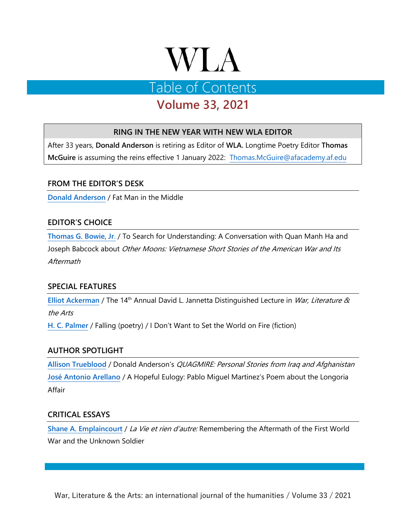# **WLA**

# Table of Contents

# **Volume 33, 2021**

# **RING IN THE NEW YEAR WITH NEW WLA EDITOR**

After 33 years, **Donald Anderson** is retiring as Editor of **WLA.** Longtime Poetry Editor **Thomas McGuire** is assuming the reins effective 1 January 2022: [Thomas.McGuire@afacademy.af.edu](mailto:Thomas.McGuire@afacademy.af.edu)

## **FROM THE EDITOR'S DESK**

**[Donald Anderson](http://wlajournal.com/wlaarchive/33/ANDERSON2021V33.pdf)** / Fat Man in the Middle

# **EDITOR'S CHOICE**

**[Thomas G. Bowie, Jr](http://wlajournal.com/wlaarchive/33/BOWIE2021V33.pdf)**. / To Search for Understanding: A Conversation with Quan Manh Ha and Joseph Babcock about Other Moons: Vietnamese Short Stories of the American War and Its Aftermath

## **SPECIAL FEATURES**

[Elliot Ackerman](http://youtu.be/Hfd1FXHSRqw) / The 14<sup>th</sup> Annual David L. Jannetta Distinguished Lecture in *War, Literature &* the Arts

**H. C. [Palmer](http://wlajournal.com/wlaarchive/33/PALMER2021V33.pdf)** / Falling (poetry) / I Don't Want to Set the World on Fire (fiction)

## **AUTHOR SPOTLIGHT**

**[Allison Trueblood](http://wlajournal.com/wlaarchive/33/TRUEBLOOD2021V33.pdf)** / Donald Anderson's QUAGMIRE: Personal Stories from Iraq and Afghanistan **[José Antonio Arellano](http://wlajournal.com/wlaarchive/33/ARELLANO2021V33.pdf)** / A Hopeful Eulogy: Pablo Miguel Martinez's Poem about the Longoria Affair

#### **CRITICAL ESSAYS**

**[Shane A. Emplaincourt](http://wlajournal.com/wlaarchive/33/EMPLAINCOURT2021V33.pdf)** / La Vie et rien d'autre: Remembering the Aftermath of the First World War and the Unknown Soldier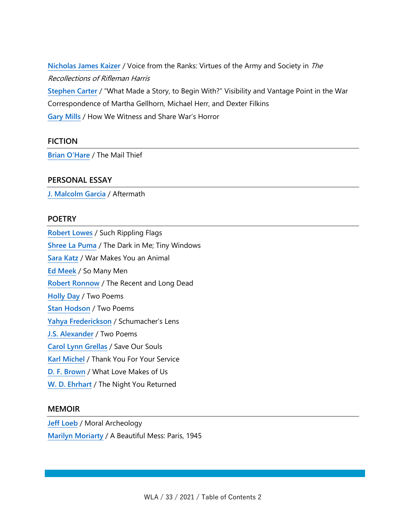**[Nicholas James Kaizer](http://wlajournal.com/wlaarchive/33/KAIZER2021V33.pdf)** / Voice from the Ranks: Virtues of the Army and Society in The Recollections of Rifleman Harris **[Stephen Carter](http://wlajournal.com/wlaarchive/33/CARTER2021V33.pdf)** / "What Made a Story, to Begin With?" Visibility and Vantage Point in the War Correspondence of Martha Gellhorn, Michael Herr, and Dexter Filkins **[Gary Mills](http://wlajournal.com/wlaarchive/33/MILLS2021V33.pdf)** / How We Witness and Share War's Horror

#### **FICTION**

**[Brian O'Hare](http://wlajournal.com/wlaarchive/33/OHARE2021V33.pdf)** / The Mail Thief

#### **PERSONAL ESSAY**

**[J. Malcolm Garcia](http://wlajournal.com/wlaarchive/33/GARCIA2021V33.pdf)** / Aftermath

#### **POETRY**

**[Robert Lowes](http://wlajournal.com/wlaarchive/33/LOWES2021V33.pdf)** / Such Rippling Flags **[Shree La Puma](http://wlajournal.com/wlaarchive/33/LA_PUMA2021V33.pdf)** / The Dark in Me; Tiny Windows **[Sara Katz](http://wlajournal.com/wlaarchive/33/KATZ2021V33.pdf)** / War Makes You an Animal **[Ed Meek](http://wlajournal.com/wlaarchive/33/MEEK2021V33.pdf)** / So Many Men **[Robert Ronnow](http://wlajournal.com/wlaarchive/33/RONNOW2021V33.pdf)** / The Recent and Long Dead **[Holly Day](http://wlajournal.com/wlaarchive/33/DAY2021V33.pdf)** / Two Poems **[Stan Hodson](http://wlajournal.com/wlaarchive/33/HODSON2021V33.pdf)** / Two Poems **[Yahya Frederickson](http://wlajournal.com/wlaarchive/33/FREDERICKSON2021V33.pdf)** / Schumacher's Lens **[J.S. Alexander](http://wlajournal.com/wlaarchive/33/ALEXANDER2021V33.pdf)** / Two Poems **[Carol Lynn Grellas](http://wlajournal.com/wlaarchive/33/GRELLAS2021V33.pdf)** / Save Our Souls **[Karl Michel](http://wlajournal.com/wlaarchive/33/MICHEL2021V33.pdf)** / Thank You For Your Service **D. F. [Brown](http://wlajournal.com/wlaarchive/33/BROWN2021V33.pdf)** / What Love Makes of Us **W. [D. Ehrhart](http://wlajournal.com/wlaarchive/33/EHRHART2021V33.pdf)** / The Night You Returned

#### **MEMOIR**

**[Jeff Loeb](http://wlajournal.com/wlaarchive/33/LOEB2021V33.pdf)** / Moral Archeology **[Marilyn Moriarty](http://wlajournal.com/wlaarchive/33/MORIARTY2021V33.pdf)** / A Beautiful Mess: Paris, 1945